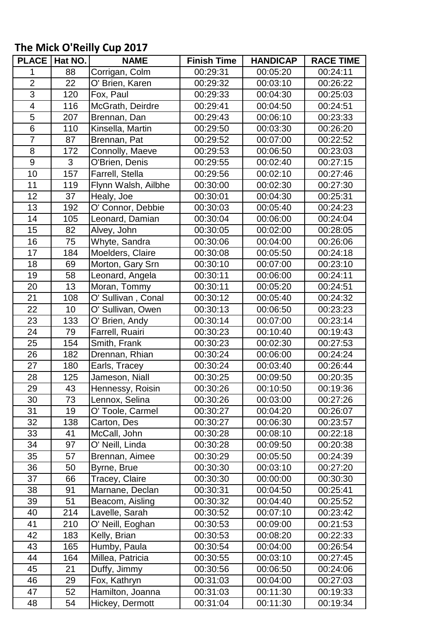## **The Mick O'Reilly Cup 2017**

| <b>PLACE</b>            | Hat NO. | <b>NAME</b>         | <b>Finish Time</b> | <b>HANDICAP</b> | <b>RACE TIME</b> |
|-------------------------|---------|---------------------|--------------------|-----------------|------------------|
| 1                       | 88      | Corrigan, Colm      | 00:29:31           | 00:05:20        | 00:24:11         |
| $\overline{2}$          | 22      | O' Brien, Karen     | 00:29:32           | 00:03:10        | 00:26:22         |
| $\overline{3}$          | 120     | Fox, Paul           | 00:29:33           | 00:04:30        | 00:25:03         |
| $\overline{\mathbf{4}}$ | 116     | McGrath, Deirdre    | 00:29:41           | 00:04:50        | 00:24:51         |
| 5                       | 207     | Brennan, Dan        | 00:29:43           | 00:06:10        | 00:23:33         |
| $6\phantom{1}$          | 110     | Kinsella, Martin    | 00:29:50           | 00:03:30        | 00:26:20         |
| $\overline{7}$          | 87      | Brennan, Pat        | 00:29:52           | 00:07:00        | 00:22:52         |
| 8                       | 172     | Connolly, Maeve     | 00:29:53           | 00:06:50        | 00:23:03         |
| 9                       | 3       | O'Brien, Denis      | 00:29:55           | 00:02:40        | 00:27:15         |
| 10                      | 157     | Farrell, Stella     | 00:29:56           | 00:02:10        | 00:27:46         |
| 11                      | 119     | Flynn Walsh, Ailbhe | 00:30:00           | 00:02:30        | 00:27:30         |
| 12                      | 37      | Healy, Joe          | 00:30:01           | 00:04:30        | 00:25:31         |
| 13                      | 192     | O' Connor, Debbie   | 00:30:03           | 00:05:40        | 00:24:23         |
| 14                      | 105     | Leonard, Damian     | 00:30:04           | 00:06:00        | 00:24:04         |
| 15                      | 82      | Alvey, John         | 00:30:05           | 00:02:00        | 00:28:05         |
| 16                      | 75      | Whyte, Sandra       | 00:30:06           | 00:04:00        | 00:26:06         |
| 17                      | 184     | Moelders, Claire    | 00:30:08           | 00:05:50        | 00:24:18         |
| 18                      | 69      | Morton, Gary Srn    | 00:30:10           | 00:07:00        | 00:23:10         |
| 19                      | 58      | Leonard, Angela     | 00:30:11           | 00:06:00        | 00:24:11         |
| 20                      | 13      | Moran, Tommy        | 00:30:11           | 00:05:20        | 00:24:51         |
| 21                      | 108     | O' Sullivan, Conal  | 00:30:12           | 00:05:40        | 00:24:32         |
| 22                      | 10      | O' Sullivan, Owen   | 00:30:13           | 00:06:50        | 00:23:23         |
| 23                      | 133     | O' Brien, Andy      | 00:30:14           | 00:07:00        | 00:23:14         |
| 24                      | 79      | Farrell, Ruairi     | 00:30:23           | 00:10:40        | 00:19:43         |
| 25                      | 154     | Smith, Frank        | 00:30:23           | 00:02:30        | 00:27:53         |
| 26                      | 182     | Drennan, Rhian      | 00:30:24           | 00:06:00        | 00:24:24         |
| 27                      | 180     | Earls, Tracey       | 00:30:24           | 00:03:40        | 00:26:44         |
| 28                      | 125     | Jameson, Niall      | 00:30:25           | 00:09:50        | 00:20:35         |
| 29                      | 43      | Hennessy, Roisin    | 00:30:26           | 00:10:50        | 00:19:36         |
| 30                      | 73      | Lennox, Selina      | 00:30:26           | 00:03:00        | 00:27:26         |
| 31                      | 19      | O' Toole, Carmel    | 00:30:27           | 00:04:20        | 00:26:07         |
| 32                      | 138     | Carton, Des         | 00:30:27           | 00:06:30        | 00:23:57         |
| 33                      | 41      | McCall, John        | 00:30:28           | 00:08:10        | 00:22:18         |
| 34                      | 97      | O' Neill, Linda     | 00:30:28           | 00:09:50        | 00:20:38         |
| 35                      | 57      | Brennan, Aimee      | 00:30:29           | 00:05:50        | 00:24:39         |
| 36                      | 50      | Byrne, Brue         | 00:30:30           | 00:03:10        | 00:27:20         |
| 37                      | 66      | Tracey, Claire      | 00:30:30           | 00:00:00        | 00:30:30         |
| 38                      | 91      | Marnane, Declan     | 00:30:31           | 00:04:50        | 00:25:41         |
| 39                      | 51      | Beacom, Aisling     | 00:30:32           | 00:04:40        | 00:25:52         |
| 40                      | 214     | Lavelle, Sarah      | 00:30:52           | 00:07:10        | 00:23:42         |
| 41                      | 210     | O' Neill, Eoghan    | 00:30:53           | 00:09:00        | 00:21:53         |
| 42                      | 183     | Kelly, Brian        | 00:30:53           | 00:08:20        | 00:22:33         |
| 43                      | 165     | Humby, Paula        | 00:30:54           | 00:04:00        | 00:26:54         |
| 44                      | 164     | Millea, Patricia    | 00:30:55           | 00:03:10        | 00:27:45         |
| 45                      | 21      | Duffy, Jimmy        | 00:30:56           | 00:06:50        | 00:24:06         |
| 46                      | 29      | Fox, Kathryn        | 00:31:03           | 00:04:00        | 00:27:03         |
| 47                      | 52      | Hamilton, Joanna    | 00:31:03           | 00:11:30        | 00:19:33         |
| 48                      | 54      | Hickey, Dermott     | 00:31:04           | 00:11:30        | 00:19:34         |